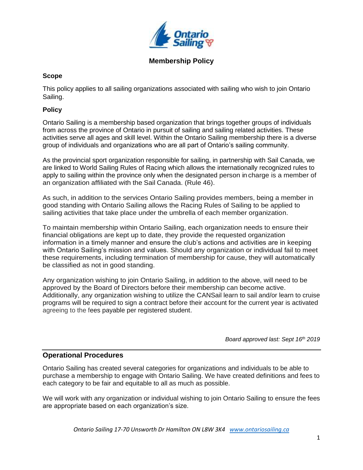

### **Membership Policy**

### **Scope**

This policy applies to all sailing organizations associated with sailing who wish to join Ontario Sailing.

#### **Policy**

Ontario Sailing is a membership based organization that brings together groups of individuals from across the province of Ontario in pursuit of sailing and sailing related activities. These activities serve all ages and skill level. Within the Ontario Sailing membership there is a diverse group of individuals and organizations who are all part of Ontario's sailing community.

As the provincial sport organization responsible for sailing, in partnership with Sail Canada, we are linked to World Sailing Rules of Racing which allows the internationally recognized rules to apply to sailing within the province only when the designated person in charge is a member of an organization affiliated with the Sail Canada. (Rule 46).

As such, in addition to the services Ontario Sailing provides members, being a member in good standing with Ontario Sailing allows the Racing Rules of Sailing to be applied to sailing activities that take place under the umbrella of each member organization.

To maintain membership within Ontario Sailing, each organization needs to ensure their financial obligations are kept up to date, they provide the requested organization information in a timely manner and ensure the club's actions and activities are in keeping with Ontario Sailing's mission and values. Should any organization or individual fail to meet these requirements, including termination of membership for cause, they will automatically be classified as not in good standing.

Any organization wishing to join Ontario Sailing, in addition to the above, will need to be approved by the Board of Directors before their membership can become active. Additionally, any organization wishing to utilize the CANSail learn to sail and/or learn to cruise programs will be required to sign a contract before their account for the current year is activated agreeing to the fees payable per registered student.

*Board approved last: Sept 16th 2019*

### **Operational Procedures**

Ontario Sailing has created several categories for organizations and individuals to be able to purchase a membership to engage with Ontario Sailing. We have created definitions and fees to each category to be fair and equitable to all as much as possible.

We will work with any organization or individual wishing to join Ontario Sailing to ensure the fees are appropriate based on each organization's size.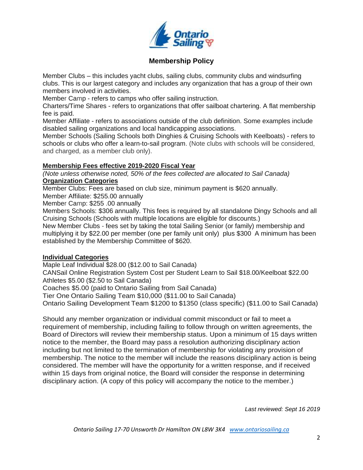

## **Membership Policy**

Member Clubs – this includes yacht clubs, sailing clubs, community clubs and windsurfing clubs. This is our largest category and includes any organization that has a group of their own members involved in activities.

Member Camp - refers to camps who offer sailing instruction.

Charters/Time Shares - refers to organizations that offer sailboat chartering. A flat membership fee is paid.

Member Affiliate - refers to associations outside of the club definition. Some examples include disabled sailing organizations and local handicapping associations.

Member Schools (Sailing Schools both Dinghies & Cruising Schools with Keelboats) - refers to schools or clubs who offer a learn-to-sail program. (Note clubs with schools will be considered, and charged, as a member club only).

### **Membership Fees effective 2019-2020 Fiscal Year**

*(Note unless otherwise noted, 50% of the fees collected are allocated to Sail Canada)* **Organization Categories**

Member Clubs: Fees are based on club size, minimum payment is \$620 annually.

Member Affiliate: \$255.00 annually

Member Camp: \$255 .00 annually

Members Schools: \$306 annually. This fees is required by all standalone Dingy Schools and all Cruising Schools (Schools with multiple locations are eligible for discounts.)

New Member Clubs - fees set by taking the total Sailing Senior (or family) membership and multiplying it by \$22.00 per member (one per family unit only) plus \$300 A minimum has been established by the Membership Committee of \$620.

### **Individual Categories**

Maple Leaf Individual \$28.00 (\$12.00 to Sail Canada)

CANSail Online Registration System Cost per Student Learn to Sail \$18.00/Keelboat \$22.00 Athletes \$5.00 (\$2.50 to Sail Canada)

Coaches \$5.00 (paid to Ontario Sailing from Sail Canada)

Tier One Ontario Sailing Team \$10,000 (\$11.00 to Sail Canada)

Ontario Sailing Development Team \$1200 to \$1350 (class specific) (\$11.00 to Sail Canada)

Should any member organization or individual commit misconduct or fail to meet a requirement of membership, including failing to follow through on written agreements, the Board of Directors will review their membership status. Upon a minimum of 15 days written notice to the member, the Board may pass a resolution authorizing disciplinary action including but not limited to the termination of membership for violating any provision of membership. The notice to the member will include the reasons disciplinary action is being considered. The member will have the opportunity for a written response, and if received within 15 days from original notice, the Board will consider the response in determining disciplinary action. (A copy of this policy will accompany the notice to the member.)

*Last reviewed: Sept 16 2019*